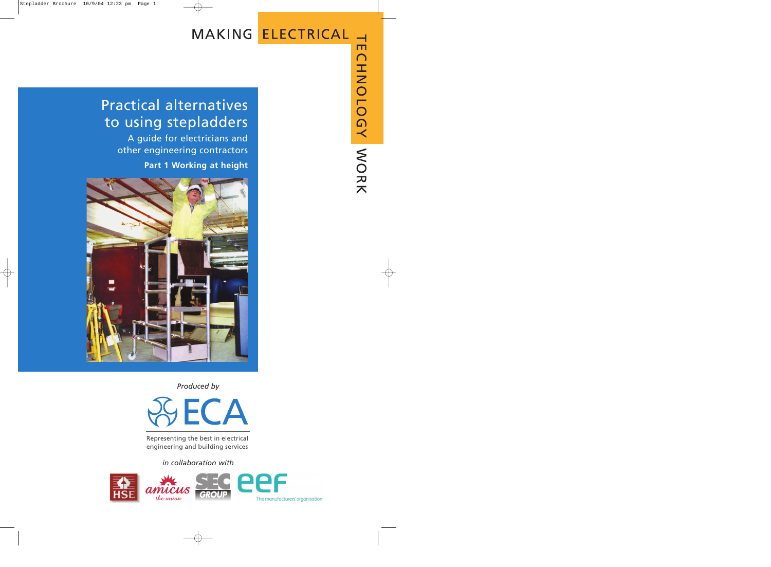# MAKING ELECTRICAL

# Practical alternatives to using stepladders

A guide for electricians and other engineering contractors

**Part 1 Working at height**



*Produced by*



Representing the best in electrical engineering and building services

# *in collaboration with*

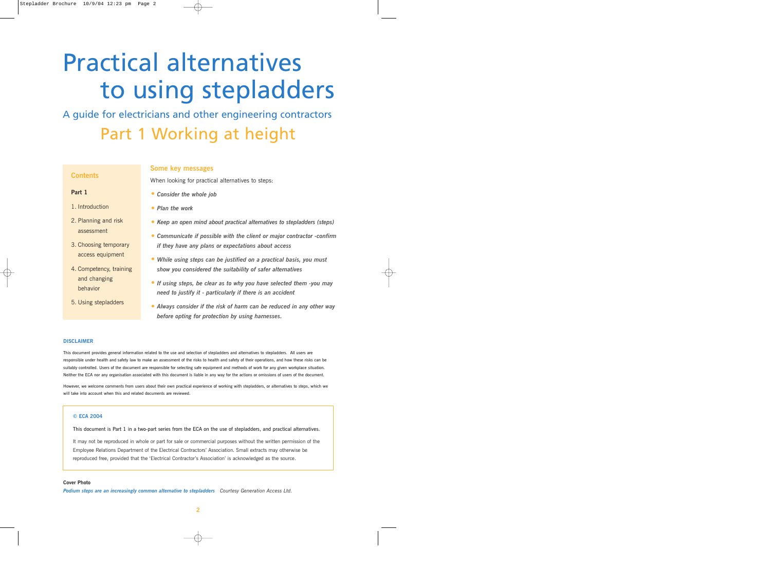# Practical alternatives to using stepladders

A guide for electricians and other engineering contractors Part 1 Working at height

# **Contents**

## **Part 1**

- 1. Introduction
- 2. Planning and risk assessment
- 3. Choosing temporary access equipment
- 4. Competency, training and changing behavior
- 5. Using stepladders

## **Some key messages**

When looking for practical alternatives to steps:

- *• Consider the whole job*
- *• Plan the work*
- *• Keep an open mind about practical alternatives to stepladders (steps)*
- *• Communicate if possible with the client or major contractor -confirm if they have any plans or expectations about access*
- *• While using steps can be justified on a practical basis, you must show you considered the suitability of safer alternatives*
- *• If using steps, be clear as to why you have selected them -you may need to justify it - particularly if there is an accident*
- *• Always consider if the risk of harm can be reduced in any other way before opting for protection by using harnesses.*

#### **DISCLAIMER**

This document provides general information related to the use and selection of stepladders and alternatives to stepladders. All users are responsible under health and safety law to make an assessment of the risks to health and safety of their operations, and how these risks can be suitably controlled. Users of the document are responsible for selecting safe equipment and methods of work for any given workplace situation. Neither the ECA nor any organisation associated with this document is liable in any way for the actions or omissions of users of the document.

However, we welcome comments from users about their own practical experience of working with stepladders, or alternatives to steps, which we will take into account when this and related documents are reviewed.

#### **© ECA 2004**

This document is Part 1 in a two-part series from the ECA on the use of stepladders, and practical alternatives.

It may not be reproduced in whole or part for sale or commercial purposes without the written permission of the Employee Relations Department of the Electrical Contractors' Association. Small extracts may otherwise be reproduced free, provided that the 'Electrical Contractor's Association' is acknowledged as the source.

**Cover Photo** *Podium steps are an increasingly common alternative to stepladders Courtesy Generation Access Ltd.*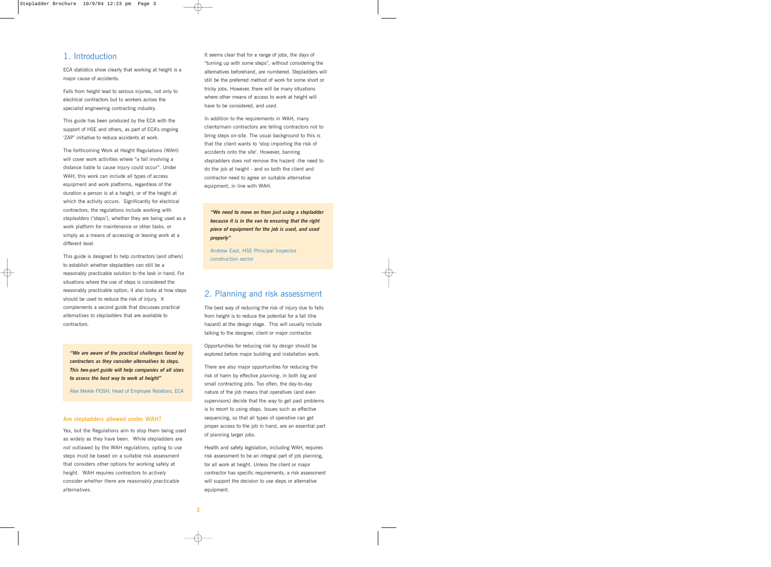# 1. Introduction

ECA statistics show clearly that working at height is a major cause of accidents.

Falls from height lead to serious injuries, not only to electrical contractors but to workers across the specialist engineering contracting industry.

This guide has been produced by the ECA with the support of HSE and others, as part of ECA's ongoing 'ZAP' initiative to reduce accidents at work.

The forthcoming Work at Height Regulations (WAH) will cover work activities where "a fall involving a distance liable to cause injury could occur". Under WAH, this work can include all types of access equipment and work platforms, regardless of the duration a person is at a height, or of the height at which the activity occurs. Significantly for electrical contractors, the regulations include working with *stepladders* ('steps'), whether they are being used as a work platform for maintenance or other tasks, or simply as a means of accessing or leaving work at a different level.

This guide is designed to help contractors (and others) to establish whether stepladders can still be a reasonably practicable solution to the task in hand. For situations where the use of steps is considered the reasonably practicable option, it also looks at how steps should be used to reduce the risk of injury. It complements a second guide that discusses practical *alternatives to stepladders* that are available to contractors.

*"We are aware of the practical challenges faced by contractors as they consider alternatives to steps. This two-part guide will help companies of all sizes to assess the best way to work at height"* 

Alex Meikle FIOSH, Head of Employee Relations, ECA

#### **Are stepladders allowed under WAH?**

Yes, but the Regulations aim to stop them being used as widely as they have been. While stepladders are *not* outlawed by the WAH regulations, opting to use steps must be based on a suitable risk assessment that considers other options for working safely at height. WAH requires contractors to *actively consider whether there are reasonably practicable alternatives.* 

It seems clear that for a range of jobs, the days of "turning up with some steps", without considering the alternatives beforehand, are numbered. Stepladders will still be the preferred method of work for some short or tricky jobs. However, there will be many situations where other means of access to work at height will have to be considered, and *used*.

In addition to the requirements in WAH, many clients/main contractors are telling contractors not to bring steps on-site. The usual background to this is that the client wants to 'stop importing the risk of accidents onto the site'. However, banning stepladders does not remove the hazard -the need to do the job at height - and so both the client and contractor need to agree on suitable alternative equipment, in line with WAH.

*"We need to move on from just using a stepladder because it is in the van to ensuring that the right piece of equipment for the job is used, and used properly"* 

Andrew East, HSE Principal Inspector construction sector

# 2. Planning and risk assessment

The best way of reducing the risk of injury due to falls from height is to reduce the potential for a fall (the hazard) at the design stage. This will usually include talking to the designer, client or major contractor.

Opportunities for reducing risk by *design* should be explored before major building and installation work.

There are also major opportunities for reducing the risk of harm by effective *planning*, in both big and small contracting jobs. Too often, the day-to-day nature of the job means that operatives (and even supervisors) decide that the way to get past problems is to resort to using steps. Issues such as effective sequencing, so that all types of operative can get proper access to the job in hand, are an essential part of planning larger jobs.

Health and safety legislation, including WAH, requires risk assessment to be an integral part of job planning, for all work at height. Unless the client or major contractor has specific requirements, a risk assessment will support the decision to use steps or alternative equipment.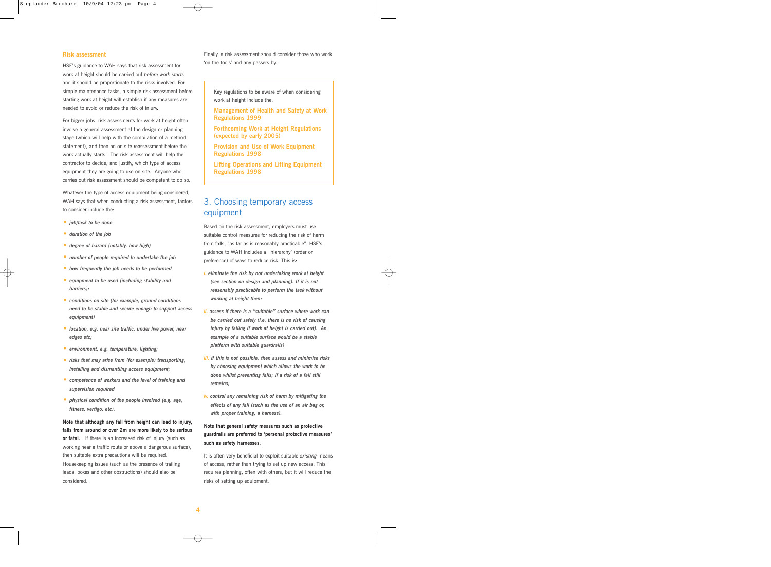#### **Risk assessment**

HSE's guidance to WAH says that risk assessment for work at height should be carried out *before work starts* and it should be proportionate to the risks involved. For simple maintenance tasks, a simple risk assessment before starting work at height will establish if any measures are needed to avoid or reduce the risk of injury.

For bigger jobs, risk assessments for work at height often involve a general assessment at the design or planning stage (which will help with the compilation of a method statement), and then an on-site reassessment before the work actually starts. The risk assessment will help the contractor to decide, and justify, which type of access equipment they are going to use on-site. Anyone who carries out risk assessment should be competent to do so.

Whatever the type of access equipment being considered, WAH says that when conducting a risk assessment, factors to consider include the:

- *• job/task to be done*
- *• duration of the job*
- *• degree of hazard (notably, how high)*
- *• number of people required to undertake the job*
- *• how frequently the job needs to be performed*
- *• equipment to be used (including stability and barriers);*
- *• conditions on site (for example, ground conditions need to be stable and secure enough to support access equipment)*
- *• location, e.g. near site traffic, under live power, near edges etc;*
- *• environment, e.g. temperature, lighting;*
- *• risks that may arise from (for example) transporting, installing and dismantling access equipment;*
- *• competence of workers and the level of training and supervision required*
- *• physical condition of the people involved (e.g. age, fitness, vertigo, etc).*

**Note that although any fall from height can lead to injury, falls from around or over 2m are more likely to be serious or fatal.** If there is an increased risk of injury (such as working near a traffic route or above a dangerous surface), then suitable extra precautions will be required. Housekeeping issues (such as the presence of trailing leads, boxes and other obstructions) should also be considered.

Finally, a risk assessment should consider those who work 'on the tools' and any passers-by.

Key regulations to be aware of when considering work at height include the:

- **Management of Health and Safety at Work Regulations 1999**
- **Forthcoming Work at Height Regulations (expected by early 2005)**

**Provision and Use of Work Equipment Regulations 1998**

**Lifting Operations and Lifting Equipment Regulations 1998**

# 3. Choosing temporary access equipment

Based on the risk assessment, employers must use suitable control measures for reducing the risk of harm from falls, "as far as is reasonably practicable". HSE's guidance to WAH includes a 'hierarchy' (order or preference) of ways to reduce risk. This is:

- *i. eliminate the risk by not undertaking work at height (see section on design and planning). If it is not reasonably practicable to perform the task without working at height then:*
- *ii. assess if there is a "suitable" surface where work can be carried out safely (i.e. there is no risk of causing injury by falling if work at height is carried out). An example of a suitable surface would be a stable platform with suitable guardrails)*
- *iii. if this is not possible, then assess and minimise risks by choosing equipment which allows the work to be done whilst preventing falls; if a risk of a fall still remains;*
- *iv. control any remaining risk of harm by mitigating the effects of any fall (such as the use of an air bag or, with proper training, a harness).*

# **Note that general safety measures such as protective guardrails are preferred to 'personal protective measures' such as safety harnesses.**

It is often very beneficial to exploit suitable *existing* means of access, rather than trying to set up new access. This requires planning, often with others, but it will reduce the risks of setting up equipment.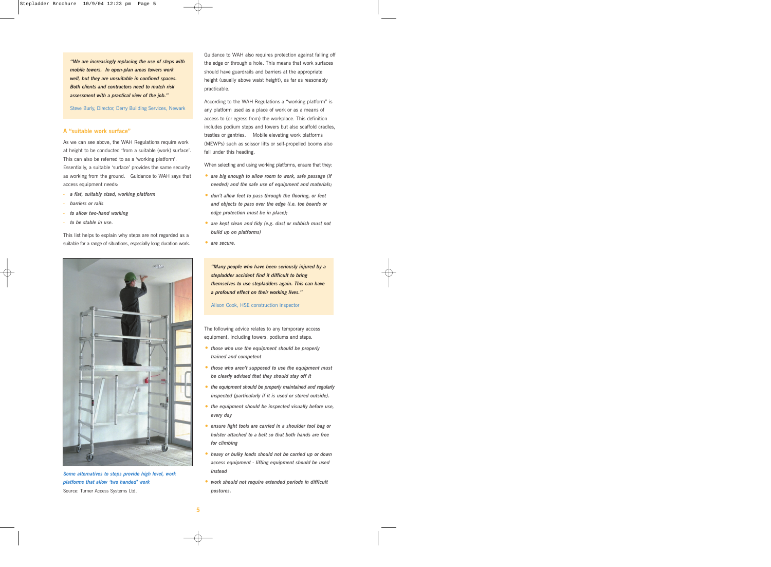*"We are increasingly replacing the use of steps with mobile towers. In open-plan areas towers work well, but they are unsuitable in confined spaces. Both clients and contractors need to match risk assessment with a practical view of the job."* 

Steve Burly, Director, Derry Building Services, Newark

#### **A "suitable work surface"**

As we can see above, the WAH Regulations require work at height to be conducted 'from a suitable (work) surface'. This can also be referred to as a 'working platform'.

Essentially, a suitable 'surface' provides the same security as working from the ground. Guidance to WAH says that access equipment needs:

- *a flat, suitably sized, working platform*
- *barriers or rails*
- *to allow two-hand working*
- *to be stable in use.*

This list helps to explain why steps are not regarded as a suitable for a range of situations, especially long duration work.



*Some alternatives to steps provide high level, work platforms that allow 'two handed' work* Source: Turner Access Systems Ltd.

Guidance to WAH also requires protection against falling off the edge or through a hole. This means that work surfaces should have guardrails and barriers at the appropriate height (usually above waist height), as far as reasonably practicable.

According to the WAH Regulations a "working platform" is any platform used as a place of work or as a means of access to (or egress from) the workplace. This definition includes podium steps and towers but also scaffold cradles, trestles or gantries. Mobile elevating work platforms (MEWPs) such as scissor lifts or self-propelled booms also fall under this heading.

When selecting and using working platforms, ensure that they:

- *• are big enough to allow room to work, safe passage (if needed) and the safe use of equipment and materials;*
- *• don't allow feet to pass through the flooring, or feet and objects to pass over the edge (i.e. toe boards or edge protection must be in place);*
- *• are kept clean and tidy (e.g. dust or rubbish must not build up on platforms)*
- *• are secure.*

*"Many people who have been seriously injured by a stepladder accident find it difficult to bring themselves to use stepladders again. This can have a profound effect on their working lives."* 

Alison Cook, HSE construction inspector

The following advice relates to any temporary access equipment, including towers, podiums and steps.

- *• those who use the equipment should be properly trained and competent*
- *• those who aren't supposed to use the equipment must be clearly advised that they should stay off it*
- *• the equipment should be properly maintained and regularly inspected (particularly if it is used or stored outside).*
- *• the equipment should be inspected visually before use, every day*
- *• ensure light tools are carried in a shoulder tool bag or holster attached to a belt so that both hands are free for climbing*
- *• heavy or bulky loads should not be carried up or down access equipment - lifting equipment should be used instead*
- *• work should not require extended periods in difficult postures.*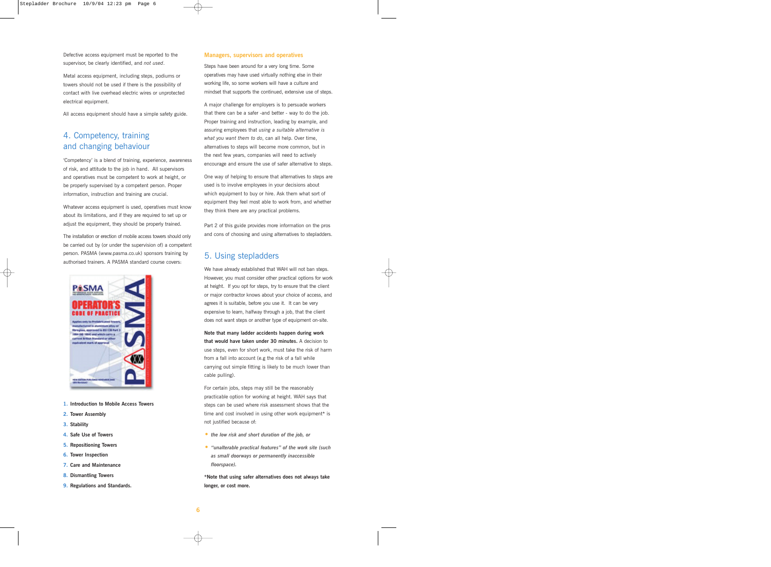Defective access equipment must be reported to the supervisor, be clearly identified, and *not used*.

Metal access equipment, including steps, podiums or towers should not be used if there is the possibility of contact with live overhead electric wires or unprotected electrical equipment.

All access equipment should have a simple safety guide.

# 4. Competency, training and changing behaviour

'Competency' is a blend of training, experience, awareness of risk, and attitude to the job in hand. All supervisors and operatives must be competent to work at height, or be properly supervised by a competent person. Proper information, instruction and training are crucial.

Whatever access equipment is used, operatives must know about its limitations, and if they are required to set up or adjust the equipment, they should be properly trained.

The installation or erection of mobile access towers should only be carried out by (or under the supervision of) a competent person. PASMA (www.pasma.co.uk) sponsors training by authorised trainers. A PASMA standard course covers:



- **1. Introduction to Mobile Access Towers**
- **2. Tower Assembly**
- **3. Stability**
- **4. Safe Use of Towers**
- **5. Repositioning Towers**
- **6. Tower Inspection**
- **7. Care and Maintenance**
- **8. Dismantling Towers**
- **9. Regulations and Standards.**

#### **Managers, supervisors and operatives**

Steps have been around for a very long time. Some operatives may have used virtually nothing else in their working life, so some workers will have a culture and mindset that supports the continued, extensive use of steps.

A major challenge for employers is to persuade workers that there can be a safer -and better - way to do the job. Proper training and instruction, leading by example, and assuring employees that *using a suitable alternative is what you want them to do*, can all help. Over time, alternatives to steps will become more common, but in the next few years, companies will need to actively encourage and ensure the use of safer alternative to steps.

One way of helping to ensure that alternatives to steps are used is to involve employees in your decisions about which equipment to buy or hire. Ask them what sort of equipment they feel most able to work from, and whether they think there are any practical problems.

Part 2 of this guide provides more information on the pros and cons of choosing and using alternatives to stepladders.

# 5. Using stepladders

We have already established that WAH will not ban steps. However, you must consider other practical options for work at height. If you opt for steps, try to ensure that the client or major contractor knows about your choice of access, and agrees it is suitable, before you use it. It can be very expensive to learn, halfway through a job, that the client does not want steps or another type of equipment on-site.

**Note that many ladder accidents happen during work that would have taken under 30 minutes.** A decision to use steps, even for short work, must take the risk of harm from a fall into account (e.g the risk of a fall while carrying out simple fitting is likely to be much lower than cable pulling).

For certain jobs, steps may still be the reasonably practicable option for working at height. WAH says that steps can be used where risk assessment shows that the time and cost involved in using other work equipment\* is not justified because of:

- *• the low risk and short duration of the job, or*
- *• "unalterable practical features" of the work site (such as small doorways or permanently inaccessible floorspace).*

**\*Note that using safer alternatives does not always take longer, or cost more.**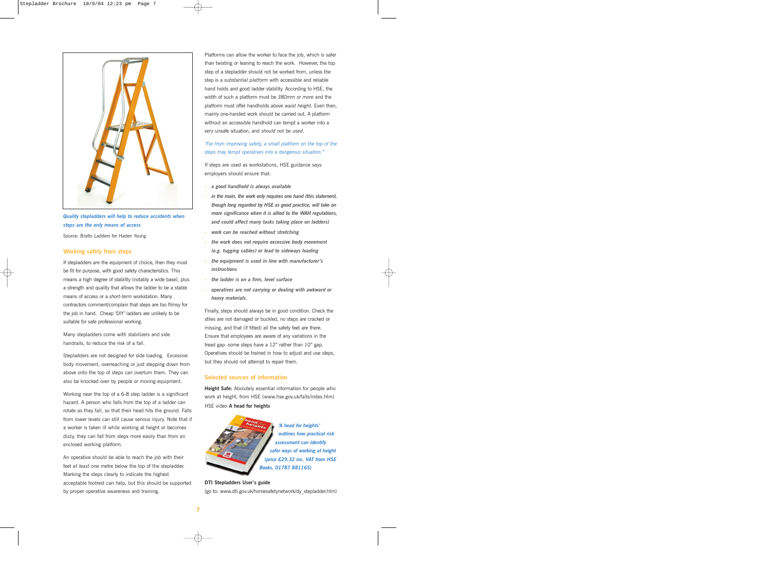

*Quality stepladders will help to reduce accidents when steps are the only means of access*

Source: Bratts Ladders for Haden Young

#### **Working safely from steps**

If stepladders *are* the equipment of choice, then they must be fit for purpose, with good safety characteristics. This means a high degree of stability (notably a wide base), plus a strength and quality that allows the ladder to be a stable means of access or a *short-term* workstation. Many contractors comment/complain that steps are too flimsy for the job in hand. Cheap 'DIY' ladders are unlikely to be suitable for safe professional working.

Many stepladders come with stabilizers and side handrails, to reduce the risk of a fall.

Stepladders are not designed for side loading. Excessive body movement, overreaching or just stepping down from above onto the top of steps can overturn them. They can also be knocked over by people or moving equipment.

Working near the top of a 6-8 step ladder is a significant hazard. A person who falls from the top of a ladder can rotate as they fall, so that their head hits the ground. Falls from lower levels can still cause serious injury. Note that if a worker is taken ill while working at height or becomes dizzy, they can fall from steps more easily than from an enclosed working platform.

An operative should be able to reach the job with their feet *at least* one metre below the top of the stepladder. Marking the steps clearly to indicate the highest acceptable footrest can help, but this should be supported by proper operative awareness and training.

Platforms can allow the worker to face the job, which is safer than twisting or leaning to reach the work. However, the top step of a stepladder should not be worked from, unless the step is a *substantial platform* with accessible and reliable hand holds and good ladder stability. According to HSE, the width of such a platform must be *380mm or more* and the platform must offer handholds *above waist height.* Even then, mainly one-handed work should be carried out. A platform without an accessible handhold can tempt a worker into a *very* unsafe situation, and *should not be used*.

## *"Far from improving safety, a small platform on the top of the steps may tempt operatives into a dangerous situation."*

If steps are used as workstations, HSE guidance says employers should ensure that:

- *a good handhold is always available*
- *in the main, the work only requires one hand (this statement, though long regarded by HSE as good practice, will take on more significance when it is allied to the WAH regulations, and could affect many tasks taking place on ladders)*
- *work can be reached without stretching*
- *- the work does not require excessive body movement (e.g. tugging cables) or lead to sideways loading*
- *the equipment is used in line with manufacturer's instructions*
- *- the ladder is on a firm, level surface*
- *- operatives are not carrying or dealing with awkward or heavy materials.*

Finally, steps should always be in good condition. Check the stiles are not damaged or buckled, no steps are cracked or missing, and that (if fitted) all the safety feet are there. Ensure that employees are aware of any variations in the tread gap -some steps have a 12" rather than 10" gap. Operatives should be trained in how to adjust and use steps, but they should not attempt to repair them.

### **Selected sources of information**

**Height Safe:** Abolutely essential information for people who work at height, from HSE (www.hse.gov.uk/falls/index.htm) HSE video **A head for heights**



*'A head for heights' outlines how practical risk assessment can identify safer ways of working at height (price £29.32 inc. VAT from HSE Books, 01787 881165)*

# **DTI Stepladders User's guide**

(go to: www.dti.gov.uk/homesafetynetwork/dy\_stepladder.htm)